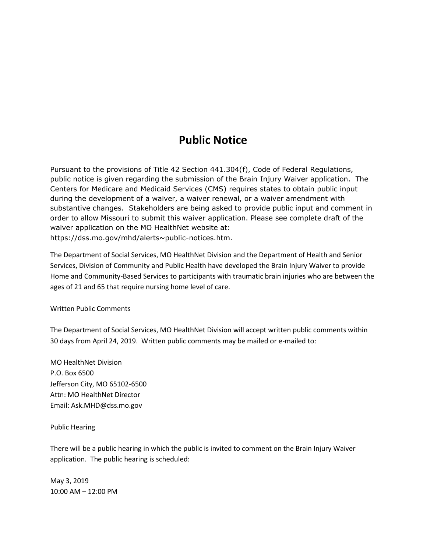## **Public Notice**

Pursuant to the provisions of Title 42 Section 441.304(f), Code of Federal Regulations, public notice is given regarding the submission of the Brain Injury Waiver application. The Centers for Medicare and Medicaid Services (CMS) requires states to obtain public input during the development of a waiver, a waiver renewal, or a waiver amendment with substantive changes. Stakeholders are being asked to provide public input and comment in order to allow Missouri to submit this waiver application. Please see complete draft of the waiver application on the MO HealthNet website at: https://dss.mo.gov/mhd/alerts~public-notices.htm.

The Department of Social Services, MO HealthNet Division and the Department of Health and Senior Services, Division of Community and Public Health have developed the Brain Injury Waiver to provide Home and Community-Based Services to participants with traumatic brain injuries who are between the ages of 21 and 65 that require nursing home level of care.

Written Public Comments

The Department of Social Services, MO HealthNet Division will accept written public comments within 30 days from April 24, 2019. Written public comments may be mailed or e-mailed to:

MO HealthNet Division P.O. Box 6500 Jefferson City, MO 65102-6500 Attn: MO HealthNet Director Email: Ask.MHD@dss.mo.gov

Public Hearing

There will be a public hearing in which the public is invited to comment on the Brain Injury Waiver application. The public hearing is scheduled:

May 3, 2019 10:00 AM – 12:00 PM